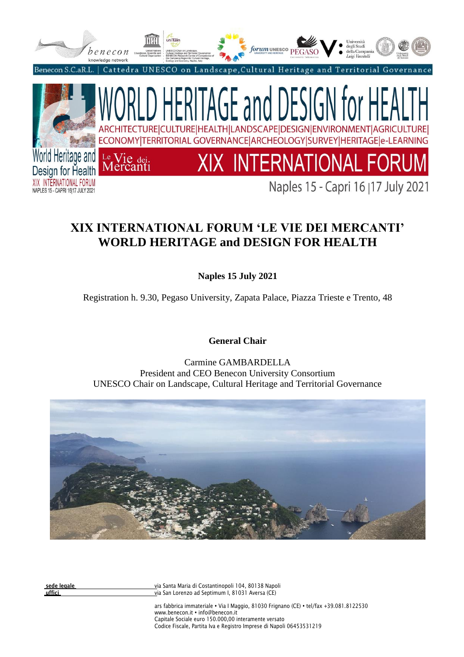

# **XIX INTERNATIONAL FORUM 'LE VIE DEI MERCANTI' WORLD HERITAGE and DESIGN FOR HEALTH**

**Naples 15 July 2021**

Registration h. 9.30, Pegaso University, Zapata Palace, Piazza Trieste e Trento, 48

**General Chair**

Carmine GAMBARDELLA President and CEO Benecon University Consortium UNESCO Chair on Landscape, Cultural Heritage and Territorial Governance



**sede legale** via Santa Maria di Costantinopoli 104, 80138 Napoli via San Lorenzo ad Septimum I, 81031 Aversa (CE)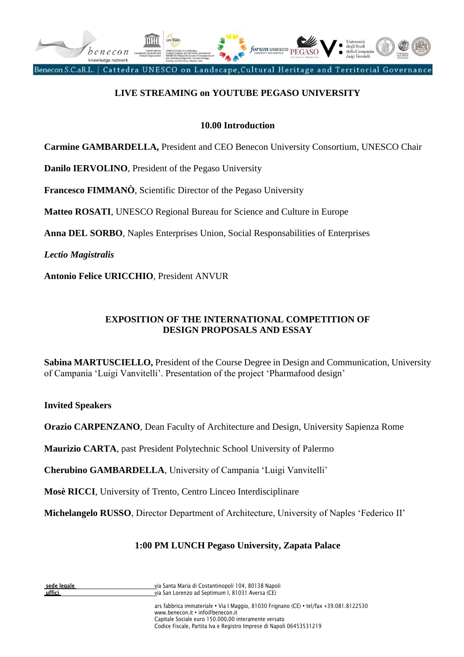

# **LIVE STREAMING on YOUTUBE PEGASO UNIVERSITY**

#### **10.00 Introduction**

**Carmine GAMBARDELLA,** President and CEO Benecon University Consortium, UNESCO Chair

**Danilo IERVOLINO**, President of the Pegaso University

**Francesco FIMMANÒ**, Scientific Director of the Pegaso University

**Matteo ROSATI**, UNESCO Regional Bureau for Science and Culture in Europe

**Anna DEL SORBO**, Naples Enterprises Union, Social Responsabilities of Enterprises

*Lectio Magistralis*

**Antonio Felice URICCHIO**, President ANVUR

#### **EXPOSITION OF THE INTERNATIONAL COMPETITION OF DESIGN PROPOSALS AND ESSAY**

**Sabina MARTUSCIELLO,** President of the Course Degree in Design and Communication, University of Campania 'Luigi Vanvitelli'. Presentation of the project 'Pharmafood design'

**Invited Speakers**

**Orazio CARPENZANO**, Dean Faculty of Architecture and Design, University Sapienza Rome

**Maurizio CARTA**, past President Polytechnic School University of Palermo

**Cherubino GAMBARDELLA**, University of Campania 'Luigi Vanvitelli'

**Mosè RICCI**, University of Trento, Centro Linceo Interdisciplinare

**Michelangelo RUSSO**, Director Department of Architecture, University of Naples 'Federico II'

#### **1:00 PM LUNCH Pegaso University, Zapata Palace**

| de legal |  |
|----------|--|
| utfici   |  |

**sede legale** via Santa Maria di Costantinopoli 104, 80138 Napoli via San Lorenzo ad Septimum I, 81031 Aversa (CE)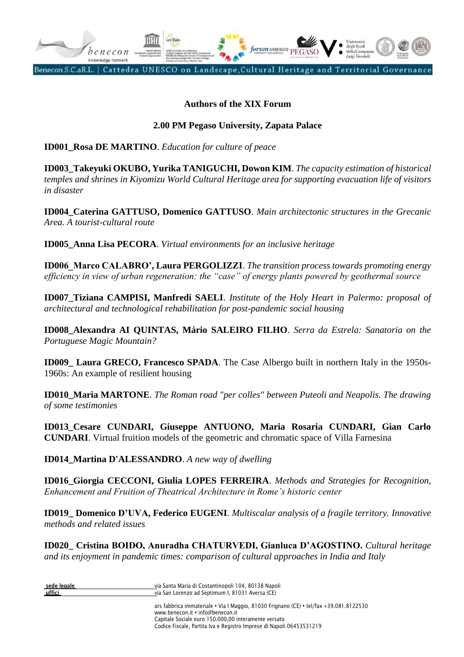

#### **Authors of the XIX Forum**

#### **2.00 PM Pegaso University, Zapata Palace**

**ID001\_Rosa DE MARTINO**. *Education for culture of peace*

**ID003\_Takeyuki OKUBO, Yurika TANIGUCHI, Dowon KIM**. *The capacity estimation of historical temples and shrines in Kiyomizu World Cultural Heritage area for supporting evacuation life of visitors in disaster*

**ID004\_Caterina GATTUSO, Domenico GATTUSO**. *Main architectonic structures in the Grecanic Area. A tourist-cultural route*

**ID005\_Anna Lisa PECORA**. *Virtual environments for an inclusive heritage*

**ID006\_Marco CALABRO', Laura PERGOLIZZI**. *The transition process towards promoting energy efficiency in view of urban regeneration: the "case" of energy plants powered by geothermal source*

**ID007\_Tiziana CAMPISI, Manfredi SAELI**. *Institute of the Holy Heart in Palermo: proposal of architectural and technological rehabilitation for post-pandemic social housing*

**ID008\_Alexandra AI QUINTAS, Mário SALEIRO FILHO**. *Serra da Estrela: Sanatoria on the Portuguese Magic Mountain?*

**ID009\_ Laura GRECO, Francesco SPADA**. The Case Albergo built in northern Italy in the 1950s-1960s: An example of resilient housing

**ID010\_Maria MARTONE**. *The Roman road "per colles" between Puteoli and Neapolis. The drawing of some testimonies*

**ID013\_Cesare CUNDARI, Giuseppe ANTUONO, Maria Rosaria CUNDARI, Gian Carlo CUNDARI**. Virtual fruition models of the geometric and chromatic space of Villa Farnesina

**ID014\_Martina D'ALESSANDRO**. *A new way of dwelling*

**ID016\_Giorgia CECCONI, Giulia LOPES FERREIRA**. *Methods and Strategies for Recognition, Enhancement and Fruition of Theatrical Architecture in Rome's historic center*

**ID019\_ Domenico D'UVA, Federico EUGENI**. *Multiscalar analysis of a fragile territory. Innovative methods and related issues*

**ID020\_ Cristina BOIDO, Anuradha CHATURVEDI, Gianluca D'AGOSTINO.** *Cultural heritage and its enjoyment in pandemic times: comparison of cultural approaches in India and Italy*

| sede legale | via Santa Maria di Costantinopoli 104, 80138 Napoli                                                                        |
|-------------|----------------------------------------------------------------------------------------------------------------------------|
| uffici      | via San Lorenzo ad Septimum I, 81031 Aversa (CE)                                                                           |
|             | ars fabbrica immateriale • Via I Maggio, 81030 Frignano (CE) • tel/fax +39.081.8122530<br>www.benecon.it • info@benecon.it |
|             | Capitale Sociale euro 150.000.00 interamente versato                                                                       |

Codice Fiscale, Partita Iva e Registro Imprese di Napoli 06453531219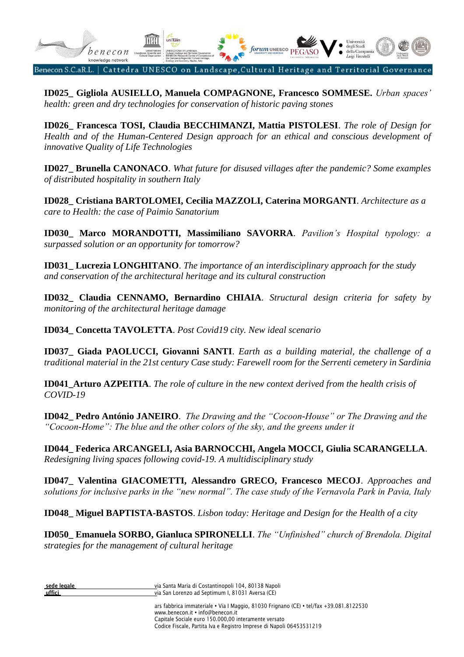

**ID025\_ Gigliola AUSIELLO, Manuela COMPAGNONE, Francesco SOMMESE.** *Urban spaces' health: green and dry technologies for conservation of historic paving stones*

**ID026\_ Francesca TOSI, Claudia BECCHIMANZI, Mattia PISTOLESI**. *The role of Design for Health and of the Human-Centered Design approach for an ethical and conscious development of innovative Quality of Life Technologies*

**ID027\_ Brunella CANONACO**. *What future for disused villages after the pandemic? Some examples of distributed hospitality in southern Italy*

**ID028\_ Cristiana BARTOLOMEI, Cecilia MAZZOLI, Caterina MORGANTI**. *Architecture as a care to Health: the case of Paimio Sanatorium*

**ID030\_ Marco MORANDOTTI, Massimiliano SAVORRA**. *Pavilion's Hospital typology: a surpassed solution or an opportunity for tomorrow?*

**ID031\_ Lucrezia LONGHITANO**. *The importance of an interdisciplinary approach for the study and conservation of the architectural heritage and its cultural construction*

**ID032\_ Claudia CENNAMO, Bernardino CHIAIA**. *Structural design criteria for safety by monitoring of the architectural heritage damage*

**ID034\_ Concetta TAVOLETTA**. *Post Covid19 city. New ideal scenario* 

**ID037\_ Giada PAOLUCCI, Giovanni SANTI**. *Earth as a building material, the challenge of a traditional material in the 21st century Case study: Farewell room for the Serrenti cemetery in Sardinia*

**ID041\_Arturo AZPEITIA**. *The role of culture in the new context derived from the health crisis of COVID-19*

**ID042\_ Pedro António JANEIRO**. *The Drawing and the "Cocoon-House" or The Drawing and the "Cocoon-Home": The blue and the other colors of the sky, and the greens under it*

**ID044\_ Federica ARCANGELI, Asia BARNOCCHI, Angela MOCCI, Giulia SCARANGELLA**. *Redesigning living spaces following covid-19. A multidisciplinary study*

**ID047\_ Valentina GIACOMETTI, Alessandro GRECO, Francesco MECOJ**. *Approaches and solutions for inclusive parks in the "new normal". The case study of the Vernavola Park in Pavia, Italy*

**ID048\_ Miguel BAPTISTA-BASTOS**. *Lisbon today: Heritage and Design for the Health of a city*

**ID050\_ Emanuela SORBO, Gianluca SPIRONELLI**. *The "Unfinished" church of Brendola. Digital strategies for the management of cultural heritage*

| sede legale |  |
|-------------|--|
| uffici      |  |

**sede legale** via Santa Maria di Costantinopoli 104, 80138 Napoli via San Lorenzo ad Septimum I, 81031 Aversa (CE)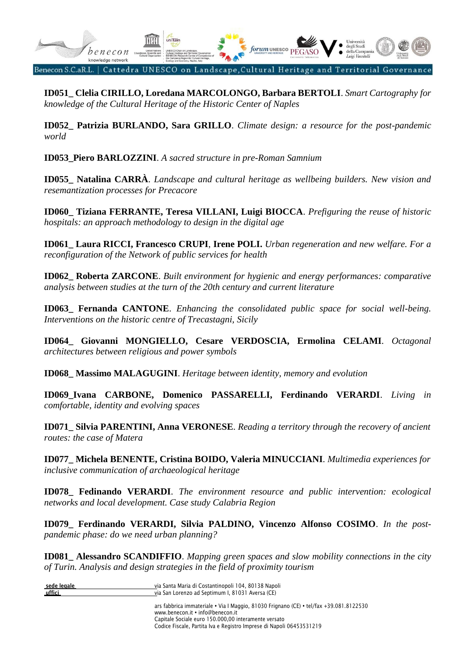

**ID051\_ Clelia CIRILLO, Loredana MARCOLONGO, Barbara BERTOLI**. *Smart Cartography for knowledge of the Cultural Heritage of the Historic Center of Naples*

**ID052\_ Patrizia BURLANDO, Sara GRILLO**. *Climate design: a resource for the post-pandemic world*

**ID053\_Piero BARLOZZINI**. *A sacred structure in pre-Roman Samnium*

**ID055\_ Natalina CARRÀ**. *Landscape and cultural heritage as wellbeing builders. New vision and resemantization processes for Precacore*

**ID060\_ Tiziana FERRANTE, Teresa VILLANI, Luigi BIOCCA**. *Prefiguring the reuse of historic hospitals: an approach methodology to design in the digital age*

**ID061\_ Laura RICCI, Francesco CRUPI**, **Irene POLI.** *Urban regeneration and new welfare. For a reconfiguration of the Network of public services for health*

**ID062\_ Roberta ZARCONE**. *Built environment for hygienic and energy performances: comparative analysis between studies at the turn of the 20th century and current literature*

**ID063\_ Fernanda CANTONE**. *Enhancing the consolidated public space for social well-being. Interventions on the historic centre of Trecastagni, Sicily*

**ID064\_ Giovanni MONGIELLO, Cesare VERDOSCIA, Ermolina CELAMI**. *Octagonal architectures between religious and power symbols*

**ID068\_ Massimo MALAGUGINI**. *Heritage between identity, memory and evolution*

**ID069\_Ivana CARBONE, Domenico PASSARELLI, Ferdinando VERARDI**. *Living in comfortable, identity and evolving spaces*

**ID071\_ Silvia PARENTINI, Anna VERONESE**. *Reading a territory through the recovery of ancient routes: the case of Matera*

**ID077\_ Michela BENENTE, Cristina BOIDO, Valeria MINUCCIANI**. *Multimedia experiences for inclusive communication of archaeological heritage*

**ID078\_ Fedinando VERARDI**. *The environment resource and public intervention: ecological networks and local development. Case study Calabria Region*

**ID079\_ Ferdinando VERARDI, Silvia PALDINO, Vincenzo Alfonso COSIMO**. *In the postpandemic phase: do we need urban planning?*

**ID081\_ Alessandro SCANDIFFIO**. *Mapping green spaces and slow mobility connections in the city of Turin. Analysis and design strategies in the field of proximity tourism*

| sede legale | via Santa Maria di Costantinopoli 104, 80138 Napoli                                                                                    |
|-------------|----------------------------------------------------------------------------------------------------------------------------------------|
| uffici      | via San Lorenzo ad Septimum I. 81031 Aversa (CE)                                                                                       |
|             | ars fabbrica immateriale • Via I Maggio, 81030 Frignano (CE) • tel/fax +39.081.8122530<br>www.benecon.it • info@benecon.it<br>$\cdots$ |

Capitale Sociale euro 150.000,00 interamente versato Codice Fiscale, Partita Iva e Registro Imprese di Napoli 06453531219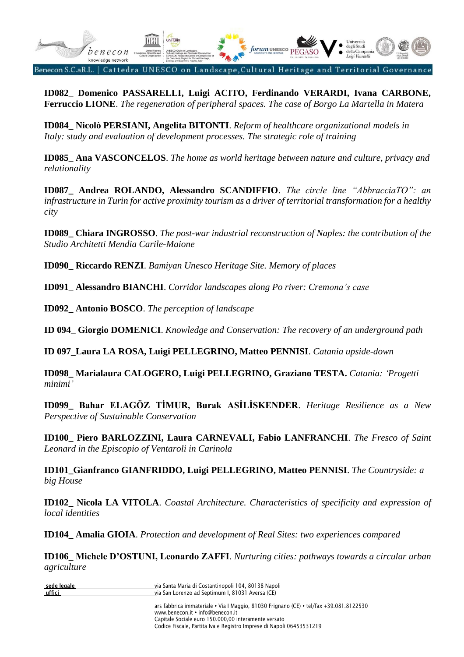

**ID082\_ Domenico PASSARELLI, Luigi ACITO, Ferdinando VERARDI, Ivana CARBONE, Ferruccio LIONE**. *The regeneration of peripheral spaces. The case of Borgo La Martella in Matera*

**ID084\_ Nicolò PERSIANI, Angelita BITONTI**. *Reform of healthcare organizational models in Italy: study and evaluation of development processes. The strategic role of training*

**ID085\_ Ana VASCONCELOS**. *The home as world heritage between nature and culture, privacy and relationality*

**ID087\_ Andrea ROLANDO, Alessandro SCANDIFFIO**. *The circle line "AbbracciaTO": an infrastructure in Turin for active proximity tourism as a driver of territorial transformation for a healthy city*

**ID089\_ Chiara INGROSSO**. *The post-war industrial reconstruction of Naples: the contribution of the Studio Architetti Mendia Carile-Maione*

**ID090\_ Riccardo RENZI**. *Bamiyan Unesco Heritage Site. Memory of places*

**ID091\_ Alessandro BIANCHI**. *Corridor landscapes along Po river: Cremona's case*

**ID092\_ Antonio BOSCO**. *The perception of landscape*

**ID 094\_ Giorgio DOMENICI**. *Knowledge and Conservation: The recovery of an underground path*

**ID 097\_Laura LA ROSA, Luigi PELLEGRINO, Matteo PENNISI**. *Catania upside-down*

**ID098\_ Marialaura CALOGERO, Luigi PELLEGRINO, Graziano TESTA.** *Catania: 'Progetti minimi'*

**ID099\_ Bahar ELAGÖZ TİMUR, Burak ASİLİSKENDER**. *Heritage Resilience as a New Perspective of Sustainable Conservation*

**ID100\_ Piero BARLOZZINI, Laura CARNEVALI, Fabio LANFRANCHI**. *The Fresco of Saint Leonard in the Episcopio of Ventaroli in Carinola*

**ID101\_Gianfranco GIANFRIDDO, Luigi PELLEGRINO, Matteo PENNISI**. *The Countryside: a big House*

**ID102\_ Nicola LA VITOLA**. *Coastal Architecture. Characteristics of specificity and expression of local identities*

**ID104\_ Amalia GIOIA**. *Protection and development of Real Sites: two experiences compared*

**ID106\_ Michele D'OSTUNI, Leonardo ZAFFI**. *Nurturing cities: pathways towards a circular urban agriculture*

| sede legale | via Santa Maria di Costantinopoli 104, 80138 Napoli |
|-------------|-----------------------------------------------------|
| uffici      | via San Lorenzo ad Septimum I, 81031 Aversa (CE)    |
|             |                                                     |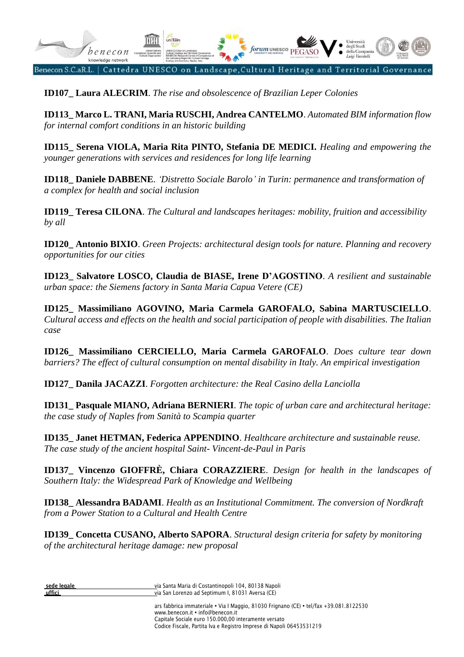

**ID107\_ Laura ALECRIM**. *The rise and obsolescence of Brazilian Leper Colonies*

**ID113\_ Marco L. TRANI, Maria RUSCHI, Andrea CANTELMO**. *Automated BIM information flow for internal comfort conditions in an historic building*

**ID115\_ Serena VIOLA, Maria Rita PINTO, Stefania DE MEDICI.** *Healing and empowering the younger generations with services and residences for long life learning*

**ID118\_ Daniele DABBENE**. *'Distretto Sociale Barolo' in Turin: permanence and transformation of a complex for health and social inclusion*

**ID119\_ Teresa CILONA**. *The Cultural and landscapes heritages: mobility, fruition and accessibility by all*

**ID120\_ Antonio BIXIO**. *Green Projects: architectural design tools for nature. Planning and recovery opportunities for our cities*

**ID123\_ Salvatore LOSCO, Claudia de BIASE, Irene D'AGOSTINO**. *A resilient and sustainable urban space: the Siemens factory in Santa Maria Capua Vetere (CE)*

**ID125\_ Massimiliano AGOVINO, Maria Carmela GAROFALO, Sabina MARTUSCIELLO**. *Cultural access and effects on the health and social participation of people with disabilities. The Italian case*

**ID126\_ Massimiliano CERCIELLO, Maria Carmela GAROFALO**. *Does culture tear down barriers? The effect of cultural consumption on mental disability in Italy. An empirical investigation*

**ID127\_ Danila JACAZZI**. *Forgotten architecture: the Real Casino della Lanciolla*

**ID131\_ Pasquale MIANO, Adriana BERNIERI**. *The topic of urban care and architectural heritage: the case study of Naples from Sanità to Scampia quarter*

**ID135\_ Janet HETMAN, Federica APPENDINO**. *Healthcare architecture and sustainable reuse. The case study of the ancient hospital Saint- Vincent-de-Paul in Paris*

**ID137\_ Vincenzo GIOFFRÈ, Chiara CORAZZIERE**. *Design for health in the landscapes of Southern Italy: the Widespread Park of Knowledge and Wellbeing*

**ID138\_ Alessandra BADAMI**. *Health as an Institutional Commitment. The conversion of Nordkraft from a Power Station to a Cultural and Health Centre*

**ID139\_ Concetta CUSANO, Alberto SAPORA**. *Structural design criteria for safety by monitoring of the architectural heritage damage: new proposal*

| sede legale |  |
|-------------|--|
| uffici      |  |

**sede legale** via Santa Maria di Costantinopoli 104, 80138 Napoli via San Lorenzo ad Septimum I, 81031 Aversa (CE)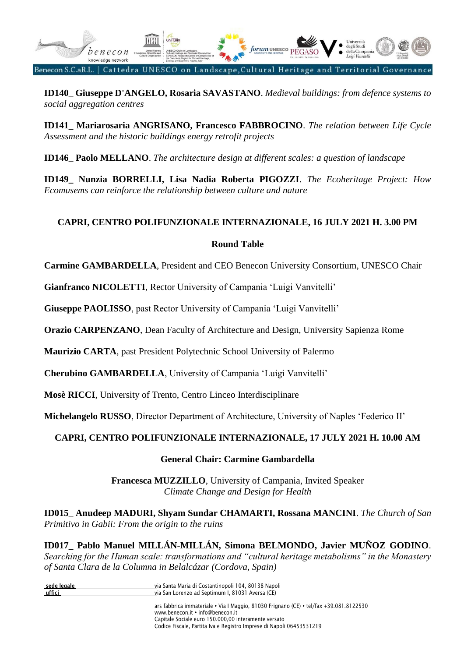

**ID140\_ Giuseppe D'ANGELO, Rosaria SAVASTANO**. *Medieval buildings: from defence systems to social aggregation centres*

**ID141\_ Mariarosaria ANGRISANO, Francesco FABBROCINO**. *The relation between Life Cycle Assessment and the historic buildings energy retrofit projects*

**ID146\_ Paolo MELLANO**. *The architecture design at different scales: a question of landscape*

**ID149\_ Nunzia BORRELLI, Lisa Nadia Roberta PIGOZZI**. *The Ecoheritage Project: How Ecomusems can reinforce the relationship between culture and nature*

## **CAPRI, CENTRO POLIFUNZIONALE INTERNAZIONALE, 16 JULY 2021 H. 3.00 PM**

#### **Round Table**

**Carmine GAMBARDELLA**, President and CEO Benecon University Consortium, UNESCO Chair

**Gianfranco NICOLETTI**, Rector University of Campania 'Luigi Vanvitelli'

**Giuseppe PAOLISSO**, past Rector University of Campania 'Luigi Vanvitelli'

**Orazio CARPENZANO**, Dean Faculty of Architecture and Design, University Sapienza Rome

**Maurizio CARTA**, past President Polytechnic School University of Palermo

**Cherubino GAMBARDELLA**, University of Campania 'Luigi Vanvitelli'

**Mosè RICCI**, University of Trento, Centro Linceo Interdisciplinare

**Michelangelo RUSSO**, Director Department of Architecture, University of Naples 'Federico II'

#### **CAPRI, CENTRO POLIFUNZIONALE INTERNAZIONALE, 17 JULY 2021 H. 10.00 AM**

#### **General Chair: Carmine Gambardella**

**Francesca MUZZILLO**, University of Campania, Invited Speaker *Climate Change and Design for Health*

**ID015\_ Anudeep MADURI, Shyam Sundar CHAMARTI, Rossana MANCINI**. *The Church of San Primitivo in Gabii: From the origin to the ruins*

**ID017\_ Pablo Manuel MILLÁN-MILLÁN, Simona BELMONDO, Javier MUÑOZ GODINO**. *Searching for the Human scale: transformations and "cultural heritage metabolisms" in the Monastery of Santa Clara de la Columna in Belalcázar (Cordova, Spain)*

| sede legale | via Santa Maria di Costantinopoli 104, 80138 Napoli                                                                        |
|-------------|----------------------------------------------------------------------------------------------------------------------------|
| uffici      | via San Lorenzo ad Septimum I, 81031 Aversa (CE)                                                                           |
|             | ars fabbrica immateriale • Via I Maggio, 81030 Frignano (CE) • tel/fax +39.081.8122530<br>www.benecon.it • info@benecon.it |
|             | Capitale Sociale euro 150.000.00 interamente versato                                                                       |

Codice Fiscale, Partita Iva e Registro Imprese di Napoli 06453531219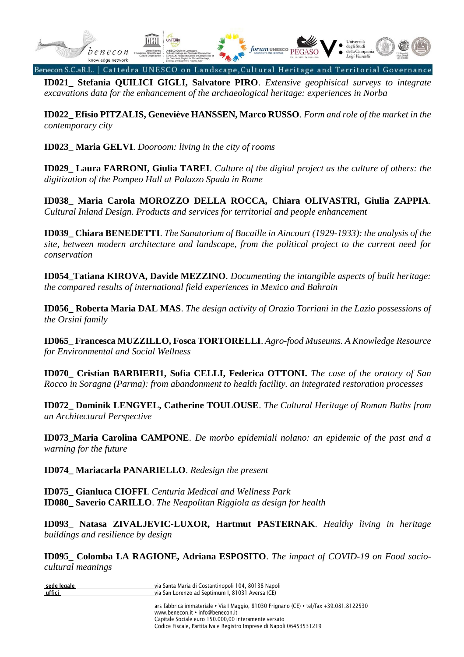

**ID021\_ Stefania QUILICI GIGLI, Salvatore PIRO**. *Extensive geophisical surveys to integrate excavations data for the enhancement of the archaeological heritage: experiences in Norba*

**ID022\_ Efisio PITZALIS, Geneviève HANSSEN, Marco RUSSO**. *Form and role of the market in the contemporary city*

**ID023\_ Maria GELVI**. *Dooroom: living in the city of rooms*

**ID029\_ Laura FARRONI, Giulia TAREI**. *Culture of the digital project as the culture of others: the digitization of the Pompeo Hall at Palazzo Spada in Rome*

**ID038\_ Maria Carola MOROZZO DELLA ROCCA, Chiara OLIVASTRI, Giulia ZAPPIA**. *Cultural Inland Design. Products and services for territorial and people enhancement*

**ID039\_ Chiara BENEDETTI**. *The Sanatorium of Bucaille in Aincourt (1929-1933): the analysis of the site, between modern architecture and landscape, from the political project to the current need for conservation* 

**ID054\_Tatiana KIROVA, Davide MEZZINO**. *Documenting the intangible aspects of built heritage: the compared results of international field experiences in Mexico and Bahrain*

**ID056\_ Roberta Maria DAL MAS**. *The design activity of Orazio Torriani in the Lazio possessions of the Orsini family*

**ID065\_ Francesca MUZZILLO, Fosca TORTORELLI**. *Agro-food Museums. A Knowledge Resource for Environmental and Social Wellness*

**ID070\_ Cristian BARBIERI1, Sofia CELLI, Federica OTTONI.** *The case of the oratory of San Rocco in Soragna (Parma): from abandonment to health facility. an integrated restoration processes*

**ID072\_ Dominik LENGYEL, Catherine TOULOUSE**. *The Cultural Heritage of Roman Baths from an Architectural Perspective*

**ID073\_Maria Carolina CAMPONE**. *De morbo epidemiali nolano: an epidemic of the past and a warning for the future*

**ID074\_ Mariacarla PANARIELLO**. *Redesign the present*

**ID075\_ Gianluca CIOFFI**. *Centuria Medical and Wellness Park* **ID080\_ Saverio CARILLO**. *The Neapolitan Riggiola as design for health*

**ID093\_ Natasa ZIVALJEVIC-LUXOR, Hartmut PASTERNAK**. *Healthy living in heritage buildings and resilience by design*

**ID095\_ Colomba LA RAGIONE, Adriana ESPOSITO**. *The impact of COVID-19 on Food sociocultural meanings*

| sede legale | via Santa Maria di Costantinopoli 104, 80138 Napoli           |
|-------------|---------------------------------------------------------------|
| uffici      | via San Lorenzo ad Septimum I, 81031 Aversa (CE)              |
|             |                                                               |
|             | ars fabbrica immateriale • Via I Maggio 81030 Frignano (CF) • |

tel/fax +39.081.8122530 www.benecon.it . info@benecon.it Capitale Sociale euro 150.000,00 interamente versato Codice Fiscale, Partita Iva e Registro Imprese di Napoli 06453531219